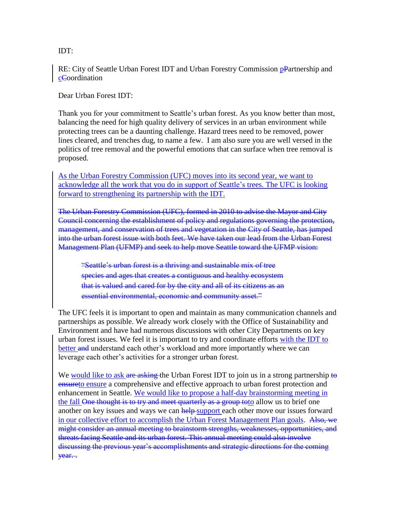IDT:

RE: City of Seattle Urban Forest IDT and Urban Forestry Commission pPartnership and cCoordination

Dear Urban Forest IDT:

Thank you for your commitment to Seattle's urban forest. As you know better than most, balancing the need for high quality delivery of services in an urban environment while protecting trees can be a daunting challenge. Hazard trees need to be removed, power lines cleared, and trenches dug, to name a few. I am also sure you are well versed in the politics of tree removal and the powerful emotions that can surface when tree removal is proposed.

As the Urban Forestry Commission (UFC) moves into its second year, we want to acknowledge all the work that you do in support of Seattle's trees. The UFC is looking forward to strengthening its partnership with the IDT.

The Urban Forestry Commission (UFC), formed in 2010 to advise the Mayor and City Council concerning the establishment of policy and regulations governing the protection, management, and conservation of trees and vegetation in the City of Seattle, has jumped into the urban forest issue with both feet. We have taken our lead from the Urban Forest Management Plan (UFMP) and seek to help move Seattle toward the UFMP vision:

"Seattle's urban forest is a thriving and sustainable mix of tree species and ages that creates a contiguous and healthy ecosystem that is valued and cared for by the city and all of its citizens as an essential environmental, economic and community asset."

The UFC feels it is important to open and maintain as many communication channels and partnerships as possible. We already work closely with the Office of Sustainability and Environment and have had numerous discussions with other City Departments on key urban forest issues. We feel it is important to try and coordinate efforts with the IDT to better and understand each other's workload and more importantly where we can leverage each other's activities for a stronger urban forest.

We would like to ask are asking the Urban Forest IDT to join us in a strong partnership to ensureto ensure a comprehensive and effective approach to urban forest protection and enhancement in Seattle. We would like to propose a half-day brainstorming meeting in the fall One thought is to try and meet quarterly as a group toto allow us to brief one another on key issues and ways we can help-support each other move our issues forward in our collective effort to accomplish the Urban Forest Management Plan goals. Also, we might consider an annual meeting to brainstorm strengths, weaknesses, opportunities, and threats facing Seattle and its urban forest. This annual meeting could also involve discussing the previous year's accomplishments and strategic directions for the coming year. .